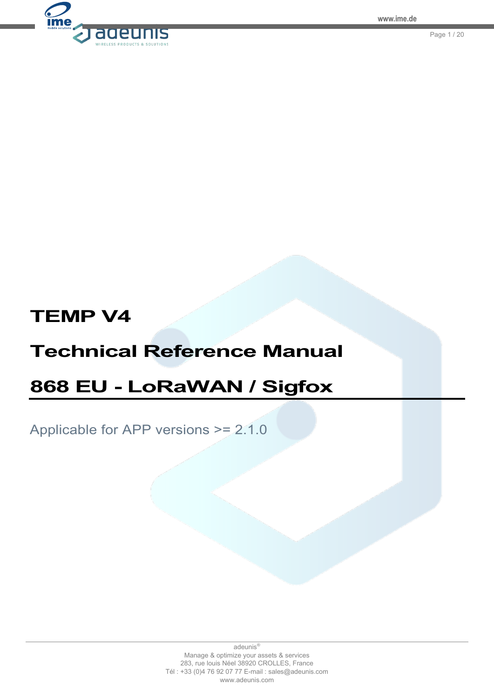

Page 1 / 20

# **TEMP V4**

# **Technical Reference Manual**

# **868 EU - LoRaWAN / Sigfox**

Applicable for APP versions >= 2.1.0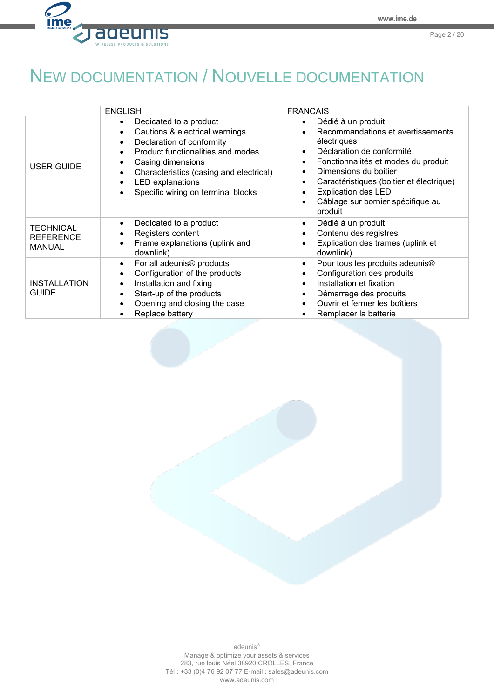Page 2 / 20



<span id="page-1-0"></span>NEW DOCUMENTATION / NOUVELLE DOCUMENTATION

|                                                       | <b>ENGLISH</b>                                                                                                                                                                                                                                                                                                                                 | <b>FRANCAIS</b>                                                                                                                                                                                                                                                                                                                           |
|-------------------------------------------------------|------------------------------------------------------------------------------------------------------------------------------------------------------------------------------------------------------------------------------------------------------------------------------------------------------------------------------------------------|-------------------------------------------------------------------------------------------------------------------------------------------------------------------------------------------------------------------------------------------------------------------------------------------------------------------------------------------|
| <b>USER GUIDE</b>                                     | Dedicated to a product<br>$\bullet$<br>Cautions & electrical warnings<br>$\bullet$<br>Declaration of conformity<br>$\bullet$<br>Product functionalities and modes<br>$\bullet$<br>Casing dimensions<br>$\bullet$<br>Characteristics (casing and electrical)<br>٠<br><b>LED</b> explanations<br>$\bullet$<br>Specific wiring on terminal blocks | Dédié à un produit<br>$\bullet$<br>Recommandations et avertissements<br>électriques<br>Déclaration de conformité<br>Fonctionnalités et modes du produit<br>$\bullet$<br>Dimensions du boitier<br>Caractéristiques (boitier et électrique)<br>$\bullet$<br><b>Explication des LED</b><br>Câblage sur bornier spécifique au<br>٠<br>produit |
| <b>TECHNICAL</b><br><b>REFERENCE</b><br><b>MANUAL</b> | Dedicated to a product<br>$\bullet$<br>Registers content<br>٠<br>Frame explanations (uplink and<br>$\bullet$<br>downlink)                                                                                                                                                                                                                      | Dédié à un produit<br>$\bullet$<br>Contenu des registres<br>Explication des trames (uplink et<br>downlink)                                                                                                                                                                                                                                |
| <b>INSTALLATION</b><br><b>GUIDE</b>                   | For all adeunis <sup>®</sup> products<br>$\bullet$<br>Configuration of the products<br>$\bullet$<br>Installation and fixing<br>$\bullet$<br>Start-up of the products<br>$\bullet$<br>Opening and closing the case<br>Replace battery<br>$\bullet$                                                                                              | Pour tous les produits adeunis <sup>®</sup><br>$\bullet$<br>Configuration des produits<br>Installation et fixation<br>Démarrage des produits<br>$\bullet$<br>Ouvrir et fermer les boîtiers<br>Remplacer la batterie                                                                                                                       |

adeunis® Manage & optimize your assets & services 283, rue louis Néel 38920 CROLLES, France Tél : +33 (0)4 76 92 07 77 E-mail : sales@adeunis.com www.adeunis.com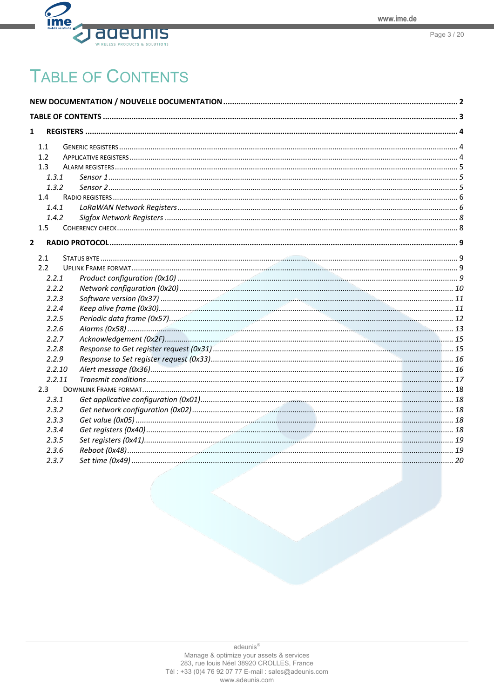

# <span id="page-2-0"></span>**TABLE OF CONTENTS**

| 1<br>1.1<br>1.2<br>1.3<br>1.3.1<br>1.3.2<br>1.4<br>1.4.1<br>1.4.2<br>1.5<br>$\mathbf{2}$<br>2.1<br>2.2<br>2.2.1<br>2.2.2<br>2.2.3<br>2.2.4<br>2.2.5<br>2.2.6<br>2.2.7<br>2.2.8<br>2.2.9<br>2.2.10<br>2.2.11<br>$2.3 -$<br>2.3.1<br>2.3.2<br>2.3.3<br>2.3.4<br>2.3.5<br>2.3.6 |  |  |
|------------------------------------------------------------------------------------------------------------------------------------------------------------------------------------------------------------------------------------------------------------------------------|--|--|
|                                                                                                                                                                                                                                                                              |  |  |
|                                                                                                                                                                                                                                                                              |  |  |
|                                                                                                                                                                                                                                                                              |  |  |
|                                                                                                                                                                                                                                                                              |  |  |
|                                                                                                                                                                                                                                                                              |  |  |
|                                                                                                                                                                                                                                                                              |  |  |
|                                                                                                                                                                                                                                                                              |  |  |
|                                                                                                                                                                                                                                                                              |  |  |
|                                                                                                                                                                                                                                                                              |  |  |
|                                                                                                                                                                                                                                                                              |  |  |
|                                                                                                                                                                                                                                                                              |  |  |
|                                                                                                                                                                                                                                                                              |  |  |
|                                                                                                                                                                                                                                                                              |  |  |
|                                                                                                                                                                                                                                                                              |  |  |
|                                                                                                                                                                                                                                                                              |  |  |
|                                                                                                                                                                                                                                                                              |  |  |
|                                                                                                                                                                                                                                                                              |  |  |
|                                                                                                                                                                                                                                                                              |  |  |
|                                                                                                                                                                                                                                                                              |  |  |
|                                                                                                                                                                                                                                                                              |  |  |
|                                                                                                                                                                                                                                                                              |  |  |
|                                                                                                                                                                                                                                                                              |  |  |
|                                                                                                                                                                                                                                                                              |  |  |
|                                                                                                                                                                                                                                                                              |  |  |
|                                                                                                                                                                                                                                                                              |  |  |
| 2.3.7                                                                                                                                                                                                                                                                        |  |  |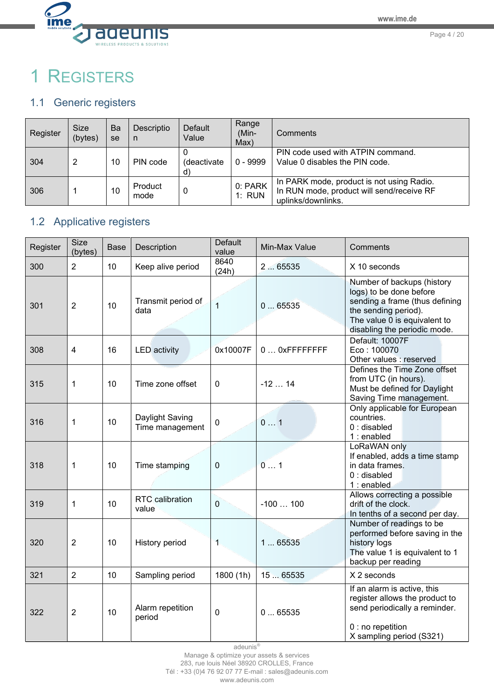

Page 4 / 20

# <span id="page-3-0"></span>1 REGISTERS

# <span id="page-3-1"></span>1.1 Generic registers

| Register | <b>Size</b><br>(bytes) | Ba<br>se | Descriptio<br>- n | Default<br>Value | Range<br>(Min-<br>Max) | <b>Comments</b>                                                                                              |
|----------|------------------------|----------|-------------------|------------------|------------------------|--------------------------------------------------------------------------------------------------------------|
| 304      | 2                      | 10       | PIN code          | (deactivate      | $0 - 9999$             | PIN code used with ATPIN command.<br>Value 0 disables the PIN code.                                          |
| 306      |                        | 10       | Product<br>mode   |                  | 0: PARK<br>1: RUN      | In PARK mode, product is not using Radio.<br>In RUN mode, product will send/receive RF<br>uplinks/downlinks. |

# <span id="page-3-2"></span>1.2 Applicative registers

| Register | Size<br>(bytes)         | <b>Base</b> | Description                        | <b>Default</b><br>value | Min-Max Value  | Comments                                                                                                                                                                        |
|----------|-------------------------|-------------|------------------------------------|-------------------------|----------------|---------------------------------------------------------------------------------------------------------------------------------------------------------------------------------|
| 300      | $\overline{2}$          | 10          | Keep alive period                  | 8640<br>(24h)           | 265535         | X 10 seconds                                                                                                                                                                    |
| 301      | $\overline{2}$          | 10          | Transmit period of<br>data         | $\overline{1}$          | 065535         | Number of backups (history<br>logs) to be done before<br>sending a frame (thus defining<br>the sending period).<br>The value 0 is equivalent to<br>disabling the periodic mode. |
| 308      | $\overline{\mathbf{4}}$ | 16          | <b>LED</b> activity                | 0x10007F                | 0  OXFFFFFFFFF | Default: 10007F<br>Eco: 100070<br>Other values : reserved                                                                                                                       |
| 315      | 1                       | 10          | Time zone offset                   | 0                       | $-1214$        | Defines the Time Zone offset<br>from UTC (in hours).<br>Must be defined for Daylight<br>Saving Time management.                                                                 |
| 316      | 1                       | 10          | Daylight Saving<br>Time management | 0                       | 01             | Only applicable for European<br>countries.<br>$0:$ disabled<br>1 : enabled                                                                                                      |
| 318      | 1                       | 10          | Time stamping                      | $\boldsymbol{0}$        | 01             | LoRaWAN only<br>If enabled, adds a time stamp<br>in data frames.<br>$0:$ disabled<br>1 : enabled                                                                                |
| 319      | 1                       | 10          | RTC calibration<br>value           | $\mathbf 0$             | $-100100$      | Allows correcting a possible<br>drift of the clock.<br>In tenths of a second per day.                                                                                           |
| 320      | $\overline{2}$          | 10          | History period                     | 1                       | 165535         | Number of readings to be<br>performed before saving in the<br>history logs<br>The value 1 is equivalent to 1<br>backup per reading                                              |
| 321      | $\overline{2}$          | 10          | Sampling period                    | 1800 (1h)               | 15  65535      | X 2 seconds                                                                                                                                                                     |
| 322      | $\overline{2}$          | 10          | Alarm repetition<br>period         | 0                       | 065535         | If an alarm is active, this<br>register allows the product to<br>send periodically a reminder.<br>0 : no repetition<br>X sampling period (S321)                                 |

adeunis®

Manage & optimize your assets & services

283, rue louis Néel 38920 CROLLES, France

Tél : +33 (0)4 76 92 07 77 E-mail : sales@adeunis.com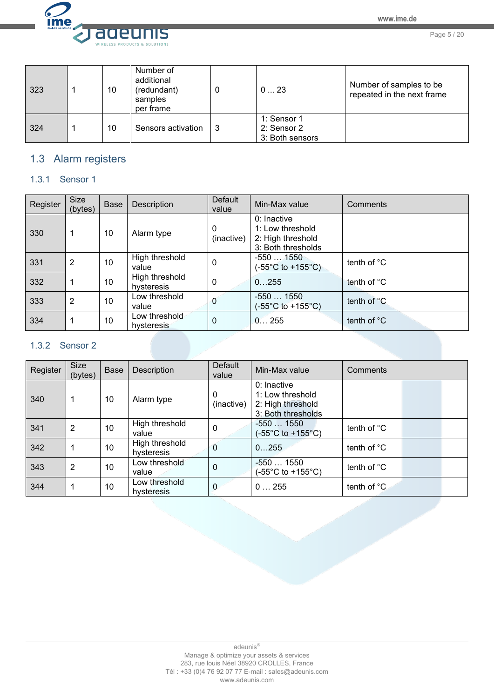

Page 5 / 20

| 323 | 10 | Number of<br>additional<br>(redundant)<br>samples<br>per frame |    | 023                                           | Number of samples to be<br>repeated in the next frame |
|-----|----|----------------------------------------------------------------|----|-----------------------------------------------|-------------------------------------------------------|
| 324 | 10 | Sensors activation                                             | -3 | 1: Sensor 1<br>2: Sensor 2<br>3: Both sensors |                                                       |

# <span id="page-4-0"></span>1.3 Alarm registers

# <span id="page-4-1"></span>1.3.1 Sensor 1

| Register | <b>Size</b><br>(bytes) | <b>Base</b> | Description                  | <b>Default</b><br>value    | Min-Max value                                                                | Comments              |
|----------|------------------------|-------------|------------------------------|----------------------------|------------------------------------------------------------------------------|-----------------------|
| 330      |                        | 10          | Alarm type                   | $\mathbf{0}$<br>(inactive) | $0:$ Inactive<br>1: Low threshold<br>2: High threshold<br>3: Both thresholds |                       |
| 331      | 2                      | 10          | High threshold<br>value      | 0                          | $-5501550$<br>$(-55^{\circ} \text{C} \text{ to } +155^{\circ} \text{C})$     | tenth of °C           |
| 332      |                        | 10          | High threshold<br>hysteresis | $\mathbf{0}$               | 0255                                                                         | tenth of °C           |
| 333      | 2                      | 10          | Low threshold<br>value       | 0                          | $-5501550$<br>$(-55^{\circ}$ C to +155 $^{\circ}$ C)                         | tenth of $^{\circ}$ C |
| 334      |                        | 10          | Low threshold<br>hysteresis  | $\Omega$                   | 0255                                                                         | tenth of $^{\circ}$ C |

# <span id="page-4-2"></span>1.3.2 Sensor 2

| Register | <b>Size</b><br>(bytes) | <b>Base</b> | Description                  | <b>Default</b><br>value | Min-Max value                                                              | Comments              |
|----------|------------------------|-------------|------------------------------|-------------------------|----------------------------------------------------------------------------|-----------------------|
| 340      |                        | 10          | Alarm type                   | 0<br>(inactive)         | 0: Inactive<br>1: Low threshold<br>2: High threshold<br>3: Both thresholds |                       |
| 341      | 2                      | 10          | High threshold<br>value      | 0                       | $-5501550$<br>$(-55^{\circ}C \text{ to } +155^{\circ}C)$                   | tenth of $^{\circ}$ C |
| 342      |                        | 10          | High threshold<br>hysteresis | $\mathbf{0}$            | 0255                                                                       | tenth of $^{\circ}$ C |
| 343      | $\overline{2}$         | 10          | Low threshold<br>value       | $\mathbf 0$             | $-5501550$<br>$(-55^{\circ}C \text{ to } +155^{\circ}C)$                   | tenth of $^{\circ}$ C |
| 344      |                        | 10          | Low threshold<br>hysteresis  | $\Omega$                | 0255                                                                       | tenth of °C.          |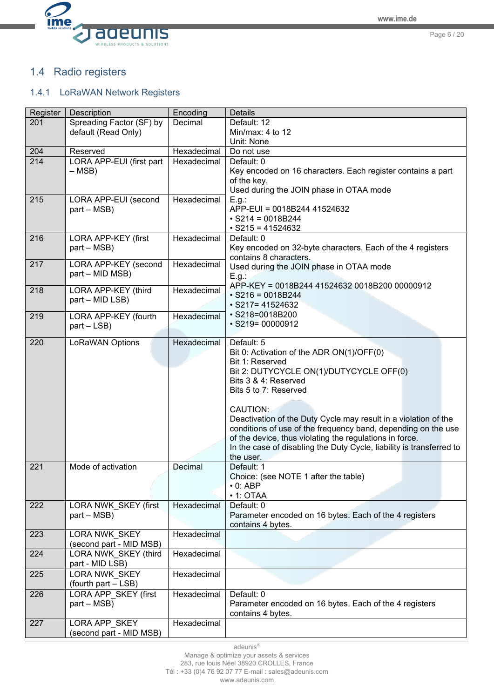

# <span id="page-5-0"></span>1.4 Radio registers

# <span id="page-5-1"></span>1.4.1 LoRaWAN Network Registers

| Register | Description              | Encoding    | <b>Details</b>                                                       |
|----------|--------------------------|-------------|----------------------------------------------------------------------|
| 201      | Spreading Factor (SF) by | Decimal     | Default: 12                                                          |
|          | default (Read Only)      |             | Min/max: 4 to 12                                                     |
|          |                          |             | Unit: None                                                           |
| 204      | Reserved                 | Hexadecimal | Do not use                                                           |
| 214      | LORA APP-EUI (first part | Hexadecimal | Default: 0                                                           |
|          | $-$ MSB)                 |             | Key encoded on 16 characters. Each register contains a part          |
|          |                          |             | of the key.                                                          |
|          |                          |             | Used during the JOIN phase in OTAA mode                              |
| 215      | LORA APP-EUI (second     | Hexadecimal | E.g.:                                                                |
|          | part – MSB)              |             | APP-EUI = 0018B244 41524632                                          |
|          |                          |             | $\cdot$ S214 = 0018B244                                              |
|          |                          |             | $\cdot$ S215 = 41524632                                              |
| 216      | LORA APP-KEY (first      | Hexadecimal | Default: 0                                                           |
|          | part – MSB)              |             | Key encoded on 32-byte characters. Each of the 4 registers           |
|          |                          |             | contains 8 characters.                                               |
| 217      | LORA APP-KEY (second     | Hexadecimal | Used during the JOIN phase in OTAA mode                              |
|          | part - MID MSB)          |             | E.g.:                                                                |
| 218      | LORA APP-KEY (third      | Hexadecimal | APP-KEY = 0018B244 41524632 0018B200 00000912                        |
|          | part - MID LSB)          |             | $\cdot$ S216 = 0018B244                                              |
|          |                          |             | $\cdot$ S217= 41524632                                               |
| 219      | LORA APP-KEY (fourth     | Hexadecimal | · S218=0018B200                                                      |
|          | $part - LSB$ )           |             | $\cdot$ S219= 00000912                                               |
|          |                          |             |                                                                      |
| 220      | LoRaWAN Options          | Hexadecimal | Default: 5                                                           |
|          |                          |             | Bit 0: Activation of the ADR ON(1)/OFF(0)                            |
|          |                          |             | Bit 1: Reserved                                                      |
|          |                          |             | Bit 2: DUTYCYCLE ON(1)/DUTYCYCLE OFF(0)                              |
|          |                          |             | Bits 3 & 4: Reserved                                                 |
|          |                          |             | Bits 5 to 7: Reserved                                                |
|          |                          |             |                                                                      |
|          |                          |             | CAUTION:                                                             |
|          |                          |             | Deactivation of the Duty Cycle may result in a violation of the      |
|          |                          |             | conditions of use of the frequency band, depending on the use        |
|          |                          |             | of the device, thus violating the regulations in force.              |
|          |                          |             | In the case of disabling the Duty Cycle, liability is transferred to |
|          |                          |             | the user.                                                            |
| 221      | Mode of activation       | Decimal     | Default: 1                                                           |
|          |                          |             | Choice: (see NOTE 1 after the table)                                 |
|          |                          |             | $\cdot$ 0: ABP                                                       |
|          |                          |             | $\cdot$ 1: OTAA                                                      |
| 222      | LORA NWK SKEY (first     | Hexadecimal | Default: 0                                                           |
|          | part – MSB)              |             | Parameter encoded on 16 bytes. Each of the 4 registers               |
|          |                          |             | contains 4 bytes.                                                    |
| 223      | <b>LORA NWK SKEY</b>     | Hexadecimal |                                                                      |
|          | (second part - MID MSB)  |             |                                                                      |
| 224      | LORA NWK SKEY (third     | Hexadecimal |                                                                      |
|          | part - MID LSB)          |             |                                                                      |
| 225      | LORA NWK SKEY            | Hexadecimal |                                                                      |
|          | (fourth part - LSB)      |             |                                                                      |
| 226      | LORA APP_SKEY (first     | Hexadecimal | Default: 0                                                           |
|          | part – MSB)              |             | Parameter encoded on 16 bytes. Each of the 4 registers               |
|          |                          |             | contains 4 bytes.                                                    |
| 227      | LORA APP SKEY            | Hexadecimal |                                                                      |
|          | (second part - MID MSB)  |             |                                                                      |
|          |                          |             |                                                                      |

adeunis®

Manage & optimize your assets & services

283, rue louis Néel 38920 CROLLES, France

Tél : +33 (0)4 76 92 07 77 E-mail : sales@adeunis.com

www.adeunis.com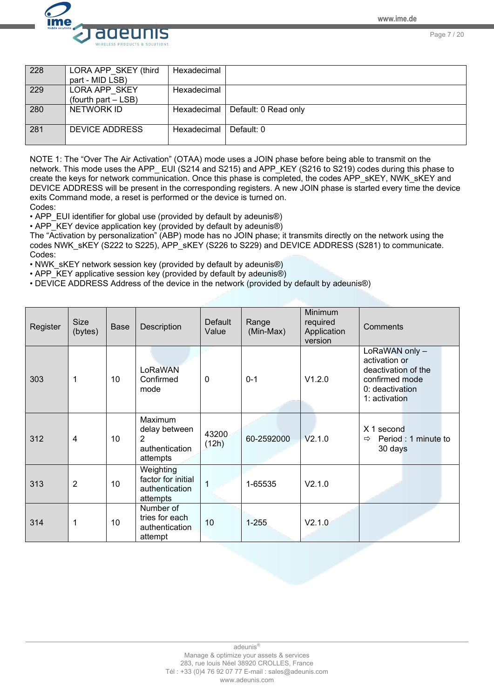Page 7 / 20



228 LORA APP\_SKEY (third part - MID LSB) **Hexadecimal** 229 LORA APP\_SKEY (fourth part – LSB) **Hexadecimal** 280 | NETWORK ID | Hexadecimal | Default: 0 Read only 281 DEVICE ADDRESS Hexadecimal Default: 0

NOTE 1: The "Over The Air Activation" (OTAA) mode uses a JOIN phase before being able to transmit on the network. This mode uses the APP EUI (S214 and S215) and APP\_KEY (S216 to S219) codes during this phase to create the keys for network communication. Once this phase is completed, the codes APP\_sKEY, NWK\_sKEY and DEVICE ADDRESS will be present in the corresponding registers. A new JOIN phase is started every time the device exits Command mode, a reset is performed or the device is turned on. Codes:

• APP\_EUI identifier for global use (provided by default by adeunis®)

• APP\_KEY device application key (provided by default by adeunis®)

The "Activation by personalization" (ABP) mode has no JOIN phase; it transmits directly on the network using the codes NWK\_sKEY (S222 to S225), APP\_sKEY (S226 to S229) and DEVICE ADDRESS (S281) to communicate. Codes:

• NWK\_sKEY network session key (provided by default by adeunis®)

• APP\_KEY applicative session key (provided by default by adeunis®)

• DEVICE ADDRESS Address of the device in the network (provided by default by adeunis®)

| Register | <b>Size</b><br>(bytes) | <b>Base</b> | Description                                                   | <b>Default</b><br>Value | Range<br>(Min-Max) | Minimum<br>required<br>Application<br>version | Comments                                                                                                     |
|----------|------------------------|-------------|---------------------------------------------------------------|-------------------------|--------------------|-----------------------------------------------|--------------------------------------------------------------------------------------------------------------|
| 303      | 1                      | 10          | LoRaWAN<br>Confirmed<br>mode                                  | $\mathbf 0$             | $0 - 1$            | V1.2.0                                        | LoRaWAN only -<br>activation or<br>deactivation of the<br>confirmed mode<br>0: deactivation<br>1: activation |
| 312      | 4                      | 10          | Maximum<br>delay between<br>2<br>authentication<br>attempts   | 43200<br>(12h)          | 60-2592000         | V2.1.0                                        | X 1 second<br>Period : 1 minute to<br>$\Rightarrow$<br>30 days                                               |
| 313      | $\overline{2}$         | 10          | Weighting<br>factor for initial<br>authentication<br>attempts | 1                       | 1-65535            | V2.1.0                                        |                                                                                                              |
| 314      | 1                      | 10          | Number of<br>tries for each<br>authentication<br>attempt      | 10                      | $1 - 255$          | V2.1.0                                        |                                                                                                              |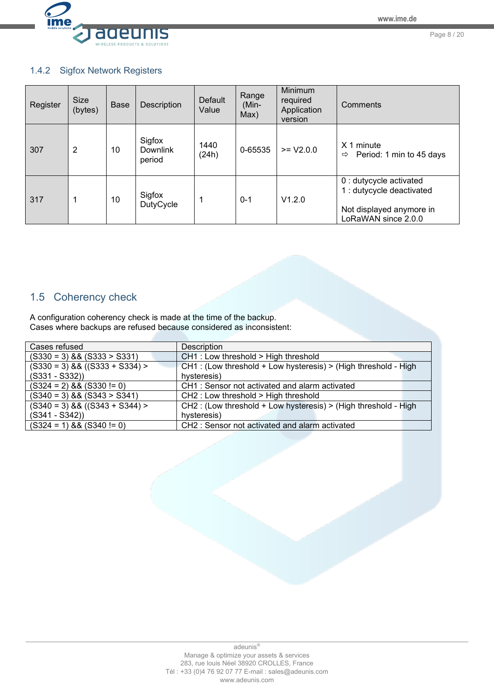

Page 8 / 20

# <span id="page-7-0"></span>1.4.2 Sigfox Network Registers

| Register | <b>Size</b><br>(bytes) | <b>Base</b> | Description                         | <b>Default</b><br>Value | Range<br>(Min-<br>Max) | Minimum<br>required<br>Application<br>version | Comments                                                                                                |
|----------|------------------------|-------------|-------------------------------------|-------------------------|------------------------|-----------------------------------------------|---------------------------------------------------------------------------------------------------------|
| 307      | 2                      | 10          | Sigfox<br><b>Downlink</b><br>period | 1440<br>(24h)           | 0-65535                | $>= V2.0.0$                                   | X <sub>1</sub><br>minute<br>Period: 1 min to 45 days<br>⇨                                               |
| 317      | 1                      | 10          | Sigfox<br><b>DutyCycle</b>          | 1                       | $0 - 1$                | V1.2.0                                        | 0 : dutycycle activated<br>1 : dutycycle deactivated<br>Not displayed anymore in<br>LoRaWAN since 2.0.0 |

# <span id="page-7-1"></span>1.5 Coherency check

A configuration coherency check is made at the time of the backup. Cases where backups are refused because considered as inconsistent:

| Cases refused                    | Description                                                    |
|----------------------------------|----------------------------------------------------------------|
| $(S330 = 3)$ && $(S333 > S331)$  | $CH1$ : Low threshold > High threshold                         |
| $(S330 = 3) 88 ((S333 + S334) >$ | CH1: (Low threshold + Low hysteresis) > (High threshold - High |
| $(S331 - S332))$                 | hysteresis)                                                    |
| $(S324 = 2)$ & & $(S330 != 0)$   | CH1: Sensor not activated and alarm activated                  |
| $(S340 = 3) 88 (S343 > S341)$    | CH2: Low threshold > High threshold                            |
| $(S340 = 3) 88 ((S343 + S344) >$ | CH2: (Low threshold + Low hysteresis) > (High threshold - High |
| $(S341 - S342))$                 | hysteresis)                                                    |
| $(S324 = 1) 88 (S340 != 0)$      | CH2: Sensor not activated and alarm activated                  |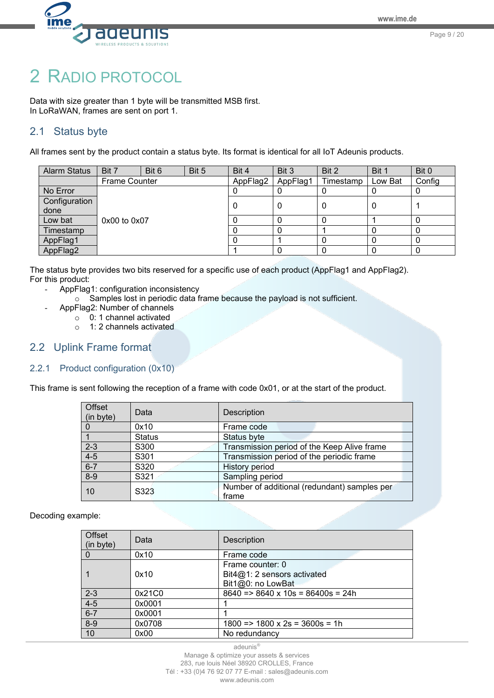

# <span id="page-8-0"></span>2 RADIO PROTOCOL

Data with size greater than 1 byte will be transmitted MSB first. In LoRaWAN, frames are sent on port 1.

# <span id="page-8-1"></span>2.1 Status byte

All frames sent by the product contain a status byte. Its format is identical for all IoT Adeunis products.

| <b>Alarm Status</b> | Bit 7                | Bit 6 | Bit 5 | Bit 4    | Bit 3    | Bit 2     | Bit 1   | Bit 0  |
|---------------------|----------------------|-------|-------|----------|----------|-----------|---------|--------|
|                     | <b>Frame Counter</b> |       |       | AppFlag2 | AppFlag1 | Timestamp | Low Bat | Config |
| No Error            |                      |       |       |          |          |           |         | υ      |
| Configuration       |                      |       |       |          |          |           |         |        |
| done                |                      |       |       |          |          |           | O       |        |
| Low bat             | $0x00$ to $0x07$     |       |       |          |          |           |         | 0      |
| Timestamp           |                      |       |       |          |          |           |         | 0      |
| AppFlag1            |                      |       |       |          |          |           |         | 0      |
| AppFlag2            |                      |       |       |          |          |           |         |        |

The status byte provides two bits reserved for a specific use of each product (AppFlag1 and AppFlag2). For this product:

- AppFlag1: configuration inconsistency
	- o Samples lost in periodic data frame because the payload is not sufficient.
- AppFlag2: Number of channels
	- $\circ$  0: 1 channel activated
	- o 1: 2 channels activated

# <span id="page-8-2"></span>2.2 Uplink Frame format

### <span id="page-8-3"></span>2.2.1 Product configuration (0x10)

This frame is sent following the reception of a frame with code 0x01, or at the start of the product.

| Offset<br>(in byte) | Data          | Description                                           |
|---------------------|---------------|-------------------------------------------------------|
|                     | 0x10          | Frame code                                            |
|                     | <b>Status</b> | Status byte                                           |
| $2 - 3$             | S300          | Transmission period of the Keep Alive frame           |
| $4 - 5$             | S301          | Transmission period of the periodic frame             |
| $6 - 7$             | S320          | <b>History period</b>                                 |
| $8 - 9$             | S321          | Sampling period                                       |
| 10                  | S323          | Number of additional (redundant) samples per<br>frame |

Decoding example:

| <b>Offset</b><br>(in byte) | Data   | Description                                       |
|----------------------------|--------|---------------------------------------------------|
|                            | 0x10   | Frame code                                        |
|                            |        | Frame counter: 0                                  |
|                            | 0x10   | $Bit4@1:2$ sensors activated                      |
|                            |        | Bit1@0: no LowBat                                 |
| $2 - 3$                    | 0x21C0 | $8640 \Rightarrow 8640 \times 10s = 86400s = 24h$ |
| $4 - 5$                    | 0x0001 |                                                   |
| $6 - 7$                    | 0x0001 |                                                   |
| $8-9$                      | 0x0708 | $1800 \Rightarrow 1800 \times 2s = 3600s = 1h$    |
| 10                         | 0x00   | No redundancy                                     |

adeunis®

Manage & optimize your assets & services 283, rue louis Néel 38920 CROLLES, France Tél : +33 (0)4 76 92 07 77 E-mail : sales@adeunis.com www.adeunis.com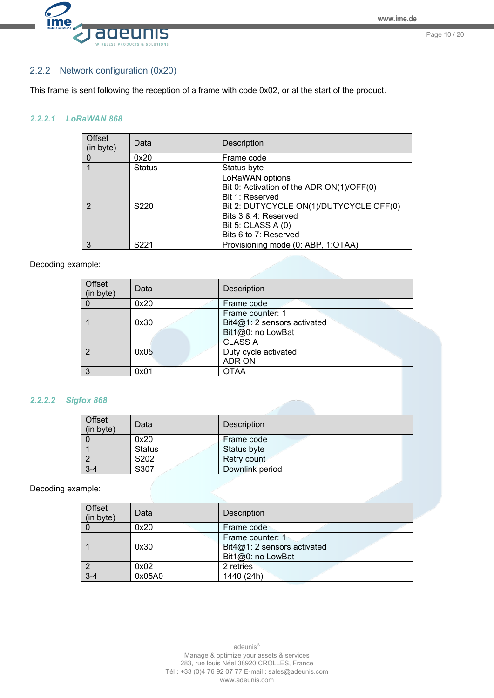

### <span id="page-9-0"></span>2.2.2 Network configuration (0x20)

This frame is sent following the reception of a frame with code 0x02, or at the start of the product.

#### *2.2.2.1 LoRaWAN 868*

| Offset<br>(in byte) | Data             | <b>Description</b>                                                                                                                                                                                |
|---------------------|------------------|---------------------------------------------------------------------------------------------------------------------------------------------------------------------------------------------------|
| $\Omega$            | 0x20             | Frame code                                                                                                                                                                                        |
|                     | <b>Status</b>    | Status byte                                                                                                                                                                                       |
|                     | S <sub>220</sub> | LoRaWAN options<br>Bit 0: Activation of the ADR ON(1)/OFF(0)<br>Bit 1: Reserved<br>Bit 2: DUTYCYCLE ON(1)/DUTYCYCLE OFF(0)<br>Bits 3 & 4: Reserved<br>Bit 5: CLASS A (0)<br>Bits 6 to 7: Reserved |
| 3                   | S <sub>221</sub> | Provisioning mode (0: ABP, 1:OTAA)                                                                                                                                                                |

#### Decoding example:

| Offset<br>(in byte) | Data | <b>Description</b>          |
|---------------------|------|-----------------------------|
|                     | 0x20 | Frame code                  |
|                     |      | Frame counter: 1            |
|                     | 0x30 | Bit4@1: 2 sensors activated |
|                     |      | Bit1@0: no LowBat           |
|                     |      | <b>CLASS A</b>              |
|                     | 0x05 | Duty cycle activated        |
|                     |      | <b>ADR ON</b>               |
| ર                   | 0x01 | <b>OTAA</b>                 |

#### *2.2.2.2 Sigfox 868*

| Offset<br>(in byte) | Data          | <b>Description</b> |
|---------------------|---------------|--------------------|
|                     | 0x20          | Frame code         |
|                     | <b>Status</b> | Status byte        |
|                     | S202          | Retry count        |
| $3 - 4$             | S307          | Downlink period    |

#### Decoding example:

| Offset<br>(in byte) | Data   | <b>Description</b>                                                   |
|---------------------|--------|----------------------------------------------------------------------|
|                     | 0x20   | Frame code                                                           |
|                     | 0x30   | Frame counter: 1<br>Bit4@1: 2 sensors activated<br>Bit1@0: no LowBat |
|                     | 0x02   | 2 retries                                                            |
| $3-4$               | 0x05A0 | 1440 (24h)                                                           |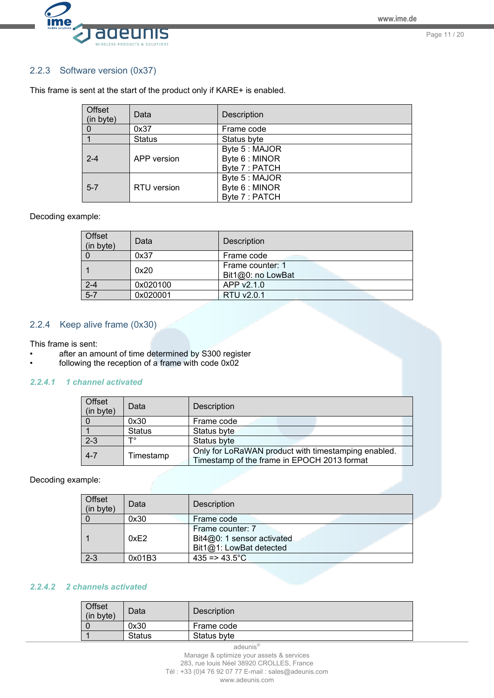

### <span id="page-10-0"></span>2.2.3 Software version (0x37)

| Offset<br>(in byte) | Data          | Description                                        |
|---------------------|---------------|----------------------------------------------------|
| 0                   | 0x37          | Frame code                                         |
|                     | <b>Status</b> | Status byte                                        |
| $2 - 4$             | APP version   | Byte 5 : MAJOR<br>Byte 6 : MINOR<br>Byte 7 : PATCH |
| $5 - 7$             | RTU version   | Byte 5 : MAJOR<br>Byte 6 : MINOR<br>Byte 7 : PATCH |

This frame is sent at the start of the product only if KARE+ is enabled.

#### Decoding example:

| Offset<br>(in byte) | Data     | Description                           |
|---------------------|----------|---------------------------------------|
|                     | 0x37     | Frame code                            |
|                     | 0x20     | Frame counter: 1<br>Bit1@0: no LowBat |
| $2 - 4$             | 0x020100 | APP v2.1.0                            |
| $5 - 7$             | 0x020001 | RTU v2.0.1                            |

# <span id="page-10-1"></span>2.2.4 Keep alive frame (0x30)

This frame is sent:

- after an amount of time determined by S300 register
- following the reception of a frame with code 0x02

#### *2.2.4.1 1 channel activated*

| Offset<br>(in byte) | Data          | <b>Description</b>                                                                                 |
|---------------------|---------------|----------------------------------------------------------------------------------------------------|
|                     | 0x30          | Frame code                                                                                         |
|                     | <b>Status</b> | Status byte                                                                                        |
| $2 - 3$             | ┳             | Status byte                                                                                        |
| $4 - 7$             | Timestamp     | Only for LoRaWAN product with timestamping enabled.<br>Timestamp of the frame in EPOCH 2013 format |

Decoding example:

| Offset<br>(in byte) | Data   | Description                                                               |
|---------------------|--------|---------------------------------------------------------------------------|
|                     | 0x30   | Frame code                                                                |
|                     | 0xE2   | Frame counter: 7<br>Bit4@0: 1 sensor activated<br>Bit1@1: LowBat detected |
| $2 - 3$             | 0x01B3 | $435 = 43.5^{\circ}C$                                                     |

## *2.2.4.2 2 channels activated*

| Offset<br>(in byte) | Data          | Description |
|---------------------|---------------|-------------|
|                     | 0x30          | Frame code  |
|                     | <b>Status</b> | Status byte |

adeunis®

Manage & optimize your assets & services 283, rue louis Néel 38920 CROLLES, France Tél : +33 (0)4 76 92 07 77 E-mail : sales@adeunis.com

www.adeunis.com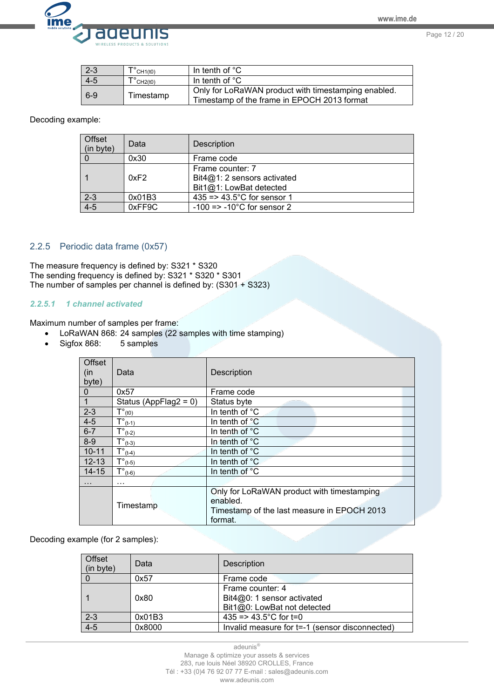

Page 12 / 20

| $2 - 3$ | $\check{\text{CH1(t0)}}$ | In tenth of $°C$                                                                                   |
|---------|--------------------------|----------------------------------------------------------------------------------------------------|
| $4 - 5$ | $\check{\text{CH2(t0)}}$ | In tenth of $^{\circ}$ C                                                                           |
| $6-9$   | Timestamp                | Only for LoRaWAN product with timestamping enabled.<br>Timestamp of the frame in EPOCH 2013 format |

#### Decoding example:

| Offset<br>(in byte) | Data   | Description                                                                  |
|---------------------|--------|------------------------------------------------------------------------------|
|                     | 0x30   | Frame code                                                                   |
|                     | 0xF2   | Frame counter: 7<br>Bit $4@1:2$ sensors activated<br>Bit1@1: LowBat detected |
| $2 - 3$             | 0x01B3 | 435 = $> 43.5^{\circ}$ C for sensor 1                                        |
| $4-5$               | 0xFF9C | $-100$ => $-10^{\circ}$ C for sensor 2                                       |

#### <span id="page-11-0"></span>2.2.5 Periodic data frame (0x57)

The measure frequency is defined by: S321 \* S320 The sending frequency is defined by: S321 \* S320 \* S301 The number of samples per channel is defined by: (S301 + S323)

#### *2.2.5.1 1 channel activated*

Maximum number of samples per frame:

- LoRaWAN 868: 24 samples (22 samples with time stamping)<br>• Sigfox 868: 5 samples
- $\bullet$  Sigfox 868:

| Offset<br>(in<br>byte) | Data                         | Description                                                                                                      |
|------------------------|------------------------------|------------------------------------------------------------------------------------------------------------------|
| $\overline{0}$         | 0x57                         | Frame code                                                                                                       |
| $\overline{1}$         | Status (AppFlag2 = $0$ )     | Status byte                                                                                                      |
| $2 - 3$                | $T^{\circ}$ <sub>(t0)</sub>  | In tenth of °C                                                                                                   |
| $4 - 5$                | $T^{\circ}$ <sub>(t-1)</sub> | In tenth of $°C$                                                                                                 |
| $6 - 7$                | $T^{\circ}$ <sub>(t-2)</sub> | In tenth of °C                                                                                                   |
| $8-9$                  | $T^{\circ}$ <sub>(t-3)</sub> | In tenth of °C                                                                                                   |
| $10 - 11$              | $T^{\circ}$ <sub>(t-4)</sub> | In tenth of °C                                                                                                   |
| $12 - 13$              | $T^{\circ}$ <sub>(t-5)</sub> | In tenth of $^{\circ}$ C                                                                                         |
| $14 - 15$              | $T^{\circ}$ <sub>(t-6)</sub> | In tenth of °C                                                                                                   |
| $\cdots$               | $\cdots$                     |                                                                                                                  |
|                        | Timestamp                    | Only for LoRaWAN product with timestamping<br>enabled.<br>Timestamp of the last measure in EPOCH 2013<br>format. |

Decoding example (for 2 samples):

| Offset<br>(in byte) | Data   | <b>Description</b>                                        |
|---------------------|--------|-----------------------------------------------------------|
|                     | 0x57   | Frame code                                                |
|                     | 0x80   | Frame counter: 4                                          |
|                     |        | Bit4@0: 1 sensor activated<br>Bit1@0: LowBat not detected |
| $2 - 3$             | 0x01B3 | 435 = > 43.5 °C for t=0                                   |
| $4 - 5$             | 0x8000 | Invalid measure for t=-1 (sensor disconnected)            |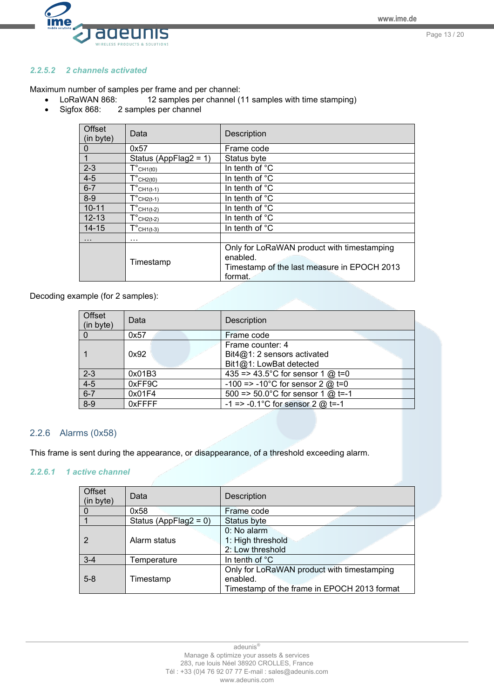Page 13 / 20



### *2.2.5.2 2 channels activated*

Maximum number of samples per frame and per channel:

- LoRaWAN 868: 12 samples per channel (11 samples with time stamping)
- Sigfox 868: 2 samples per channel

| Offset<br>(in byte) | Data                                          | Description                                                                                                      |
|---------------------|-----------------------------------------------|------------------------------------------------------------------------------------------------------------------|
| 0                   | 0x57                                          | Frame code                                                                                                       |
|                     | Status (AppFlag2 = $1$ )                      | Status byte                                                                                                      |
| $2 - 3$             | $T^{\circ}$ CH <sub>1</sub> (t <sub>0</sub> ) | In tenth of °C                                                                                                   |
| $4 - 5$             | $T^{\circ}$ CH <sub>2</sub> (t <sub>0</sub> ) | In tenth of $^{\circ}$ C                                                                                         |
| $6 - 7$             | $T^{\circ}$ CH <sub>1</sub> (t-1)             | In tenth of °C                                                                                                   |
| $8-9$               | $T^{\circ}$ CH <sub>2</sub> (t-1)             | In tenth of °C                                                                                                   |
| $10 - 11$           | $T^{\circ}$ CH <sub>1</sub> (t-2)             | In tenth of $^{\circ}$ C                                                                                         |
| $12 - 13$           | $T^{\circ}$ CH <sub>2</sub> (t-2)             | In tenth of °C                                                                                                   |
| $14 - 15$           | $T^{\circ}$ CH <sub>1</sub> (t-3)             | In tenth of °C                                                                                                   |
| $\cdots$            | $\cdots$                                      |                                                                                                                  |
|                     | Timestamp                                     | Only for LoRaWAN product with timestamping<br>enabled.<br>Timestamp of the last measure in EPOCH 2013<br>format. |

Decoding example (for 2 samples):

| Offset<br>(in byte) | Data   | <b>Description</b>                                                           |
|---------------------|--------|------------------------------------------------------------------------------|
|                     | 0x57   | Frame code                                                                   |
|                     | 0x92   | Frame counter: 4<br>Bit $4@1:2$ sensors activated<br>Bit1@1: LowBat detected |
| $2 - 3$             | 0x01B3 | 435 = > 43.5°C for sensor 1 $@$ t=0                                          |
| $4 - 5$             | 0xFF9C | -100 => -10°C for sensor 2 $@$ t=0                                           |
| $6 - 7$             | 0x01F4 | 500 => 50.0°C for sensor 1 $@$ t=-1                                          |
| $8 - 9$             | 0xFFFF | $-1$ => $-0.1^{\circ}$ C for sensor 2 @ t=-1                                 |

#### <span id="page-12-0"></span>2.2.6 Alarms (0x58)

This frame is sent during the appearance, or disappearance, of a threshold exceeding alarm.

#### *2.2.6.1 1 active channel*

| Offset<br>(in byte) | Data                     | Description                                                                                           |
|---------------------|--------------------------|-------------------------------------------------------------------------------------------------------|
|                     | 0x58                     | Frame code                                                                                            |
|                     | Status (AppFlag2 = $0$ ) | Status byte                                                                                           |
| 2                   | Alarm status             | $0: No$ alarm<br>1: High threshold<br>2: Low threshold                                                |
| $3 - 4$             | Temperature              | In tenth of $^{\circ}$ C                                                                              |
| $5 - 8$             | Timestamp                | Only for LoRaWAN product with timestamping<br>enabled.<br>Timestamp of the frame in EPOCH 2013 format |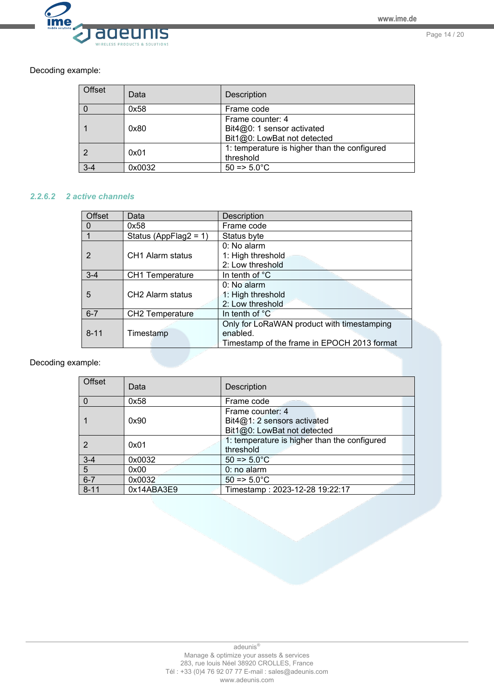

Page 14 / 20

Decoding example:

| Offset  | Data   | <b>Description</b>                                                            |
|---------|--------|-------------------------------------------------------------------------------|
|         | 0x58   | Frame code                                                                    |
|         | 0x80   | Frame counter: 4<br>Bit4@0: 1 sensor activated<br>Bit1@0: LowBat not detected |
|         | 0x01   | 1: temperature is higher than the configured<br>threshold                     |
| $3 - 4$ | 0x0032 | $50 = 5.0^{\circ}C$                                                           |

#### *2.2.6.2 2 active channels*

| <b>Offset</b> | Data                         | <b>Description</b>                          |
|---------------|------------------------------|---------------------------------------------|
| O             | 0x58                         | Frame code                                  |
|               | Status (AppFlag2 = $1$ )     | Status byte                                 |
|               |                              | 0: No alarm                                 |
| 2             | CH <sub>1</sub> Alarm status | 1: High threshold                           |
|               |                              | 2: Low threshold                            |
| $3 - 4$       | <b>CH1</b> Temperature       | In tenth of °C                              |
|               |                              | $0: No$ alarm                               |
| 5             | CH <sub>2</sub> Alarm status | 1: High threshold                           |
|               |                              | 2: Low threshold                            |
| $6 - 7$       | <b>CH2 Temperature</b>       | In tenth of $^{\circ}$ C                    |
|               |                              | Only for LoRaWAN product with timestamping  |
| $8 - 11$      | Timestamp                    | enabled.                                    |
|               |                              | Timestamp of the frame in EPOCH 2013 format |

Decoding example:

| <b>Offset</b> | Data       | Description                                                                      |
|---------------|------------|----------------------------------------------------------------------------------|
|               | 0x58       | Frame code                                                                       |
|               | 0x90       | Frame counter: 4<br>Bit $4@1:2$ sensors activated<br>Bit1@0: LowBat not detected |
|               | 0x01       | 1: temperature is higher than the configured<br>threshold                        |
| $3 - 4$       | 0x0032     | $50 = 5.0^{\circ}C$                                                              |
| 5             | 0x00       | 0: no alarm                                                                      |
| $6 - 7$       | 0x0032     | $50 = 5.0^{\circ}C$                                                              |
| $8 - 11$      | 0x14ABA3E9 | Timestamp: 2023-12-28 19:22:17                                                   |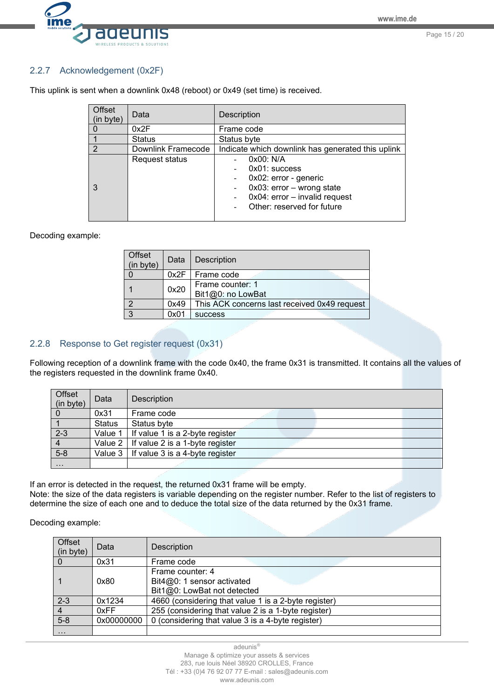

## <span id="page-14-0"></span>2.2.7 Acknowledgement (0x2F)

| <b>Offset</b><br>(in byte) | Data               | Description                                                                                                                                                             |
|----------------------------|--------------------|-------------------------------------------------------------------------------------------------------------------------------------------------------------------------|
| $\mathbf{0}$               | 0x2F               | Frame code                                                                                                                                                              |
|                            | <b>Status</b>      | Status byte                                                                                                                                                             |
| $\mathfrak{p}$             | Downlink Framecode | Indicate which downlink has generated this uplink                                                                                                                       |
| 3                          | Request status     | 0x00: N/A<br>$0x01$ : success<br>0x02: error - generic<br>$0x03$ : error - wrong state<br>0x04: error - invalid request<br>$\overline{a}$<br>Other: reserved for future |

This uplink is sent when a downlink 0x48 (reboot) or 0x49 (set time) is received.

#### Decoding example:

| Offset<br>(in byte) | Data | <b>Description</b>                           |
|---------------------|------|----------------------------------------------|
|                     |      | 0x2F   Frame code                            |
|                     | 0x20 | Frame counter: 1<br>Bit1@0: no LowBat        |
| റ                   | 0x49 | This ACK concerns last received 0x49 request |
| $\mathbf{z}$        | 0x01 | <b>SUCCESS</b>                               |

## <span id="page-14-1"></span>2.2.8 Response to Get register request (0x31)

Following reception of a downlink frame with the code 0x40, the frame 0x31 is transmitted. It contains all the values of the registers requested in the downlink frame 0x40.

| Offset<br>(in byte) | Data          | Description                                    |
|---------------------|---------------|------------------------------------------------|
|                     | 0x31          | Frame code                                     |
|                     | <b>Status</b> | Status byte                                    |
| $2 - 3$             | Value 1 I     | If value 1 is a 2-byte register                |
| $\overline{4}$      |               | Value $2 \mid$ If value 2 is a 1-byte register |
| $5 - 8$             |               | Value $3 \mid$ If value 3 is a 4-byte register |
| $\cdots$            |               |                                                |

If an error is detected in the request, the returned 0x31 frame will be empty. Note: the size of the data registers is variable depending on the register number. Refer to the list of registers to

determine the size of each one and to deduce the total size of the data returned by the 0x31 frame.

Decoding example:

| Offset<br>(in byte) | Data       | Description                                                                       |  |
|---------------------|------------|-----------------------------------------------------------------------------------|--|
|                     | 0x31       | Frame code                                                                        |  |
|                     | 0x80       | Frame counter: 4<br>Bit $4@0$ : 1 sensor activated<br>Bit1@0: LowBat not detected |  |
| $2 - 3$             | 0x1234     | 4660 (considering that value 1 is a 2-byte register)                              |  |
|                     | 0xFF       | 255 (considering that value 2 is a 1-byte register)                               |  |
| $5-8$               | 0x00000000 | 0 (considering that value 3 is a 4-byte register)                                 |  |
| $\cdots$            |            |                                                                                   |  |

adeunis®

Manage & optimize your assets & services 283, rue louis Néel 38920 CROLLES, France Tél : +33 (0)4 76 92 07 77 E-mail : sales@adeunis.com www.adeunis.com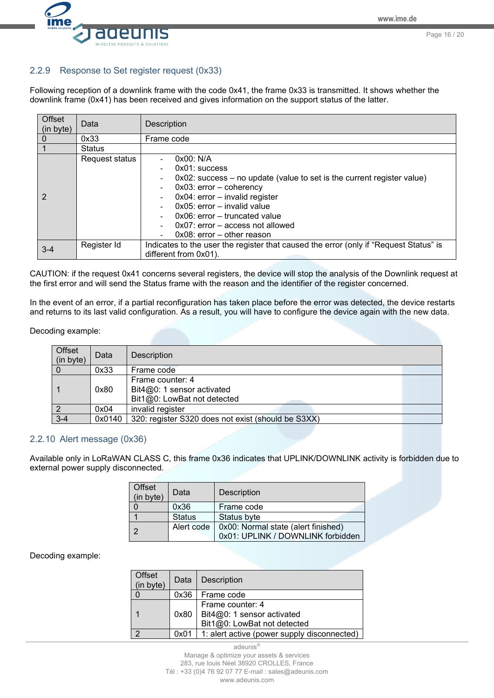Page 16 / 20



#### <span id="page-15-0"></span>2.2.9 Response to Set register request (0x33)

Following reception of a downlink frame with the code 0x41, the frame 0x33 is transmitted. It shows whether the downlink frame (0x41) has been received and gives information on the support status of the latter.

| Offset<br>(in byte) | Data           | <b>Description</b>                                                                                                                                                                                                                                                                                                                                                                                      |  |
|---------------------|----------------|---------------------------------------------------------------------------------------------------------------------------------------------------------------------------------------------------------------------------------------------------------------------------------------------------------------------------------------------------------------------------------------------------------|--|
|                     | 0x33           | Frame code                                                                                                                                                                                                                                                                                                                                                                                              |  |
|                     | <b>Status</b>  |                                                                                                                                                                                                                                                                                                                                                                                                         |  |
|                     | Request status | 0x00: N/A<br>$0x01$ : success<br>$\overline{\phantom{a}}$<br>0x02: success - no update (value to set is the current register value)<br>$\blacksquare$<br>$0x03$ : error - coherency<br>$\blacksquare$<br>0x04: error - invalid register<br>$\blacksquare$<br>$0x05$ : error – invalid value<br>$0x06$ : error – truncated value<br>$0x07$ : error – access not allowed<br>$0x08$ : error – other reason |  |
| $3 - 4$             | Register Id    | Indicates to the user the register that caused the error (only if "Request Status" is<br>different from 0x01).                                                                                                                                                                                                                                                                                          |  |

CAUTION: if the request 0x41 concerns several registers, the device will stop the analysis of the Downlink request at the first error and will send the Status frame with the reason and the identifier of the register concerned.

In the event of an error, if a partial reconfiguration has taken place before the error was detected, the device restarts and returns to its last valid configuration. As a result, you will have to configure the device again with the new data.

#### Decoding example:

| Offset<br>(in byte) | Data   | Description                                                                       |  |
|---------------------|--------|-----------------------------------------------------------------------------------|--|
|                     | 0x33   | Frame code                                                                        |  |
|                     | 0x80   | Frame counter: 4<br>Bit $4@0$ : 1 sensor activated<br>Bit1@0: LowBat not detected |  |
|                     | 0x04   | invalid register                                                                  |  |
| $3 - 4$             | 0x0140 | 320: register S320 does not exist (should be S3XX)                                |  |
|                     |        |                                                                                   |  |

#### <span id="page-15-1"></span>2.2.10 Alert message (0x36)

Available only in LoRaWAN CLASS C, this frame 0x36 indicates that UPLINK/DOWNLINK activity is forbidden due to external power supply disconnected.

| Offset<br>(in byte) | Data          | Description                                                              |
|---------------------|---------------|--------------------------------------------------------------------------|
|                     | 0x36          | Frame code                                                               |
|                     | <b>Status</b> | Status byte                                                              |
| - 27                | Alert code    | 0x00: Normal state (alert finished)<br>0x01: UPLINK / DOWNLINK forbidden |

Decoding example:

| Offset<br>(in byte) | Data | Description                                                                   |  |
|---------------------|------|-------------------------------------------------------------------------------|--|
|                     | 0x36 | Frame code                                                                    |  |
|                     | 0x80 | Frame counter: 4<br>Bit4@0: 1 sensor activated<br>Bit1@0: LowBat not detected |  |
| റ                   | 0x01 | 1: alert active (power supply disconnected)                                   |  |

adeunis® Manage & optimize your assets & services 283, rue louis Néel 38920 CROLLES, France Tél : +33 (0)4 76 92 07 77 E-mail : sales@adeunis.com www.adeunis.com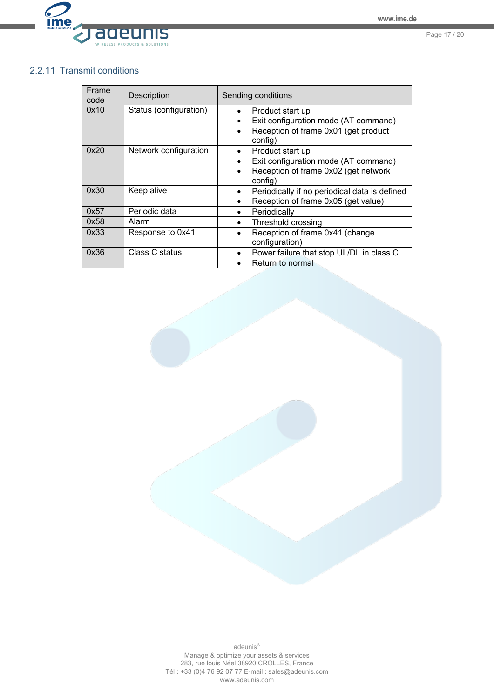

# <span id="page-16-0"></span>2.2.11 Transmit conditions

| Frame<br>code | <b>Description</b>     | Sending conditions                                                                                                       |
|---------------|------------------------|--------------------------------------------------------------------------------------------------------------------------|
| 0x10          | Status (configuration) | Product start up<br>Exit configuration mode (AT command)<br>$\bullet$<br>Reception of frame 0x01 (get product<br>config) |
| 0x20          | Network configuration  | Product start up<br>Exit configuration mode (AT command)<br>Reception of frame 0x02 (get network<br>$\bullet$<br>config) |
| 0x30          | Keep alive             | Periodically if no periodical data is defined<br>Reception of frame 0x05 (get value)                                     |
| 0x57          | Periodic data          | Periodically                                                                                                             |
| 0x58          | Alarm                  | Threshold crossing<br>$\bullet$                                                                                          |
| 0x33          | Response to 0x41       | Reception of frame 0x41 (change<br>$\bullet$<br>configuration)                                                           |
| 0x36          | Class C status         | Power failure that stop UL/DL in class C<br>Return to normal                                                             |

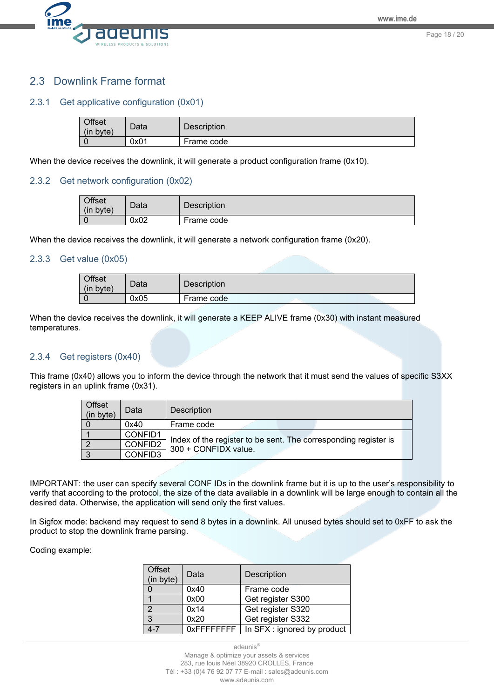

# <span id="page-17-0"></span>2.3 Downlink Frame format

#### <span id="page-17-1"></span>2.3.1 Get applicative configuration (0x01)

| <b>Offset</b><br>(in byte) | Data | <b>Description</b> |
|----------------------------|------|--------------------|
|                            | 0x01 | Frame code         |

When the device receives the downlink, it will generate a product configuration frame (0x10).

#### <span id="page-17-2"></span>2.3.2 Get network configuration (0x02)

| <b>Offset</b><br>(in byte) | Data | <b>Description</b> |
|----------------------------|------|--------------------|
|                            | 0x02 | Frame code         |

When the device receives the downlink, it will generate a network configuration frame (0x20).

#### <span id="page-17-3"></span>2.3.3 Get value (0x05)

| <b>Offset</b><br>(in<br>byte) | Data | Description |
|-------------------------------|------|-------------|
|                               | 0x05 | Frame code  |

When the device receives the downlink, it will generate a KEEP ALIVE frame (0x30) with instant measured temperatures.

#### <span id="page-17-4"></span>2.3.4 Get registers (0x40)

This frame (0x40) allows you to inform the device through the network that it must send the values of specific S3XX registers in an uplink frame (0x31).

| Offset<br>(in byte) | Data    | <b>Description</b>                                                                      |  |
|---------------------|---------|-----------------------------------------------------------------------------------------|--|
|                     | 0x40    | Frame code                                                                              |  |
|                     | CONFID1 | Index of the register to be sent. The corresponding register is<br>300 + CONFIDX value. |  |
|                     | CONFID2 |                                                                                         |  |
|                     | CONFID3 |                                                                                         |  |

IMPORTANT: the user can specify several CONF IDs in the downlink frame but it is up to the user's responsibility to verify that according to the protocol, the size of the data available in a downlink will be large enough to contain all the desired data. Otherwise, the application will send only the first values.

In Sigfox mode: backend may request to send 8 bytes in a downlink. All unused bytes should set to 0xFF to ask the product to stop the downlink frame parsing.

#### Coding example:

| Offset<br>(in byte) | Data           | Description                 |
|---------------------|----------------|-----------------------------|
| $\Omega$            | 0x40           | Frame code                  |
|                     | 0x00           | Get register S300           |
| $\overline{2}$      | 0x14           | Get register S320           |
| $\overline{3}$      | 0x20           | Get register S332           |
| 4-7                 | $0x$ FFFFFFFFF | In SFX : ignored by product |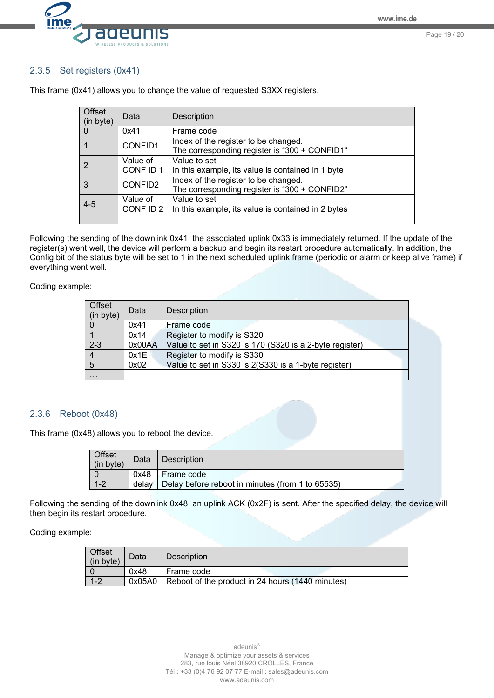Page 19 / 20



## <span id="page-18-0"></span>2.3.5 Set registers (0x41)

| Offset<br>(in byte) | Data                                                                                             | Description                                                                           |
|---------------------|--------------------------------------------------------------------------------------------------|---------------------------------------------------------------------------------------|
| $\Omega$            | 0x41                                                                                             | Frame code                                                                            |
|                     | CONFID1                                                                                          | Index of the register to be changed.<br>The corresponding register is "300 + CONFID1" |
| 2                   | Value of<br>CONF ID 1                                                                            | Value to set<br>In this example, its value is contained in 1 byte                     |
| 3                   | Index of the register to be changed.<br>CONFID2<br>The corresponding register is "300 + CONFID2" |                                                                                       |
| $4 - 5$             | Value to set<br>Value of<br>CONF ID 2<br>In this example, its value is contained in 2 bytes      |                                                                                       |
| $\cdots$            |                                                                                                  |                                                                                       |

This frame (0x41) allows you to change the value of requested S3XX registers.

Following the sending of the downlink 0x41, the associated uplink 0x33 is immediately returned. If the update of the register(s) went well, the device will perform a backup and begin its restart procedure automatically. In addition, the Config bit of the status byte will be set to 1 in the next scheduled uplink frame (periodic or alarm or keep alive frame) if everything went well.

Coding example:

| Offset<br>(in byte) | Data   | Description                                             |
|---------------------|--------|---------------------------------------------------------|
|                     | 0x41   | Frame code                                              |
|                     | 0x14   | Register to modify is S320                              |
| $2 - 3$             | 0x00AA | Value to set in S320 is 170 (S320 is a 2-byte register) |
|                     | 0x1E   | Register to modify is S330                              |
| $\overline{5}$      | 0x02   | Value to set in S330 is 2(S330 is a 1-byte register)    |
| $\cdots$            |        |                                                         |

### <span id="page-18-1"></span>2.3.6 Reboot (0x48)

This frame (0x48) allows you to reboot the device.

| Offset<br>(in byte) | Data  | <b>Description</b>                               |
|---------------------|-------|--------------------------------------------------|
|                     | 0x48  | Frame code                                       |
| $1 - 2$             | delay | Delay before reboot in minutes (from 1 to 65535) |

Following the sending of the downlink 0x48, an uplink ACK (0x2F) is sent. After the specified delay, the device will then begin its restart procedure.

Coding example:

| Offset<br>(in byte) | Data   | <b>Description</b>                               |  |
|---------------------|--------|--------------------------------------------------|--|
|                     | 0x48   | Frame code                                       |  |
| $1 - 2$             | 0x05A0 | Reboot of the product in 24 hours (1440 minutes) |  |